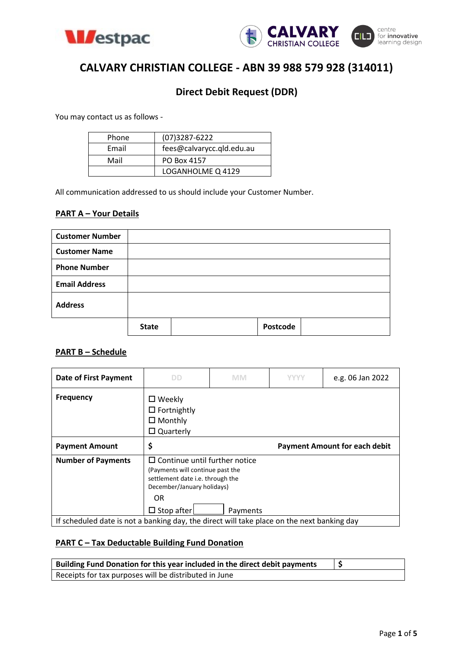



# **CALVARY CHRISTIAN COLLEGE - ABN 39 988 579 928 (314011)**

## **Direct Debit Request (DDR)**

You may contact us as follows -

| Phone | $(07)3287 - 6222$         |
|-------|---------------------------|
| Email | fees@calvarycc.qld.edu.au |
| Mail  | PO Box 4157               |
|       | LOGANHOLME Q 4129         |

All communication addressed to us should include your Customer Number.

### **PART A – Your Details**

| <b>Customer Number</b> |              |          |  |
|------------------------|--------------|----------|--|
| <b>Customer Name</b>   |              |          |  |
| <b>Phone Number</b>    |              |          |  |
| <b>Email Address</b>   |              |          |  |
| <b>Address</b>         |              |          |  |
|                        | <b>State</b> | Postcode |  |

#### **PART B – Schedule**

| <b>Date of First Payment</b>                                                               | DD                                                                                                                                                | <b>MM</b> | YYYY | e.g. 06 Jan 2022                     |  |
|--------------------------------------------------------------------------------------------|---------------------------------------------------------------------------------------------------------------------------------------------------|-----------|------|--------------------------------------|--|
| <b>Frequency</b>                                                                           | $\square$ Weekly<br>$\Box$ Fortnightly<br>$\Box$ Monthly<br>$\Box$ Quarterly                                                                      |           |      |                                      |  |
| <b>Payment Amount</b>                                                                      | \$                                                                                                                                                |           |      | <b>Payment Amount for each debit</b> |  |
| <b>Number of Payments</b>                                                                  | $\Box$ Continue until further notice<br>(Payments will continue past the<br>settlement date <i>i.e.</i> through the<br>December/January holidays) |           |      |                                      |  |
|                                                                                            | OR.<br>$\Box$ Stop after                                                                                                                          | Payments  |      |                                      |  |
| If scheduled date is not a banking day, the direct will take place on the next banking day |                                                                                                                                                   |           |      |                                      |  |

#### **PART C – Tax Deductable Building Fund Donation**

| Building Fund Donation for this year included in the direct debit payments |  |
|----------------------------------------------------------------------------|--|
| Receipts for tax purposes will be distributed in June                      |  |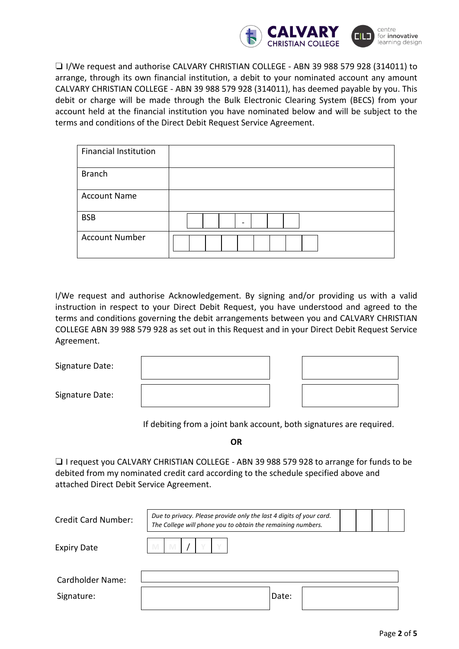

❏ I/We request and authorise CALVARY CHRISTIAN COLLEGE - ABN 39 988 579 928 (314011) to arrange, through its own financial institution, a debit to your nominated account any amount CALVARY CHRISTIAN COLLEGE - ABN 39 988 579 928 (314011), has deemed payable by you. This debit or charge will be made through the Bulk Electronic Clearing System (BECS) from your account held at the financial institution you have nominated below and will be subject to the terms and conditions of the Direct Debit Request Service Agreement.

| <b>Financial Institution</b> |  |
|------------------------------|--|
| <b>Branch</b>                |  |
| <b>Account Name</b>          |  |
| <b>BSB</b>                   |  |
| <b>Account Number</b>        |  |

I/We request and authorise Acknowledgement. By signing and/or providing us with a valid instruction in respect to your Direct Debit Request, you have understood and agreed to the terms and conditions governing the debit arrangements between you and CALVARY CHRISTIAN COLLEGE ABN 39 988 579 928 as set out in this Request and in your Direct Debit Request Service Agreement.

Signature Date:

Signature Date:

If debiting from a joint bank account, both signatures are required.

**OR**

❏ I request you CALVARY CHRISTIAN COLLEGE - ABN 39 988 579 928 to arrange for funds to be debited from my nominated credit card according to the schedule specified above and attached Direct Debit Service Agreement.

| Credit Card Number:     |   | Due to privacy. Please provide only the last 4 digits of your card.<br>The College will phone you to obtain the remaining numbers. |  |  |  |  |       |  |  |  |
|-------------------------|---|------------------------------------------------------------------------------------------------------------------------------------|--|--|--|--|-------|--|--|--|
| <b>Expiry Date</b>      | M |                                                                                                                                    |  |  |  |  |       |  |  |  |
| <b>Cardholder Name:</b> |   |                                                                                                                                    |  |  |  |  |       |  |  |  |
| Signature:              |   |                                                                                                                                    |  |  |  |  | Date: |  |  |  |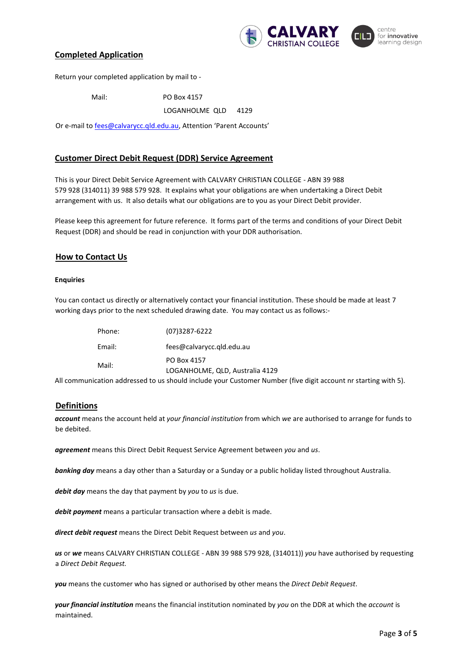

#### centre for innovative learning design

#### **Completed Application**

Return your completed application by mail to -

Mail: PO Box 4157 LOGANHOLME QLD 4129

Or e-mail to [fees@calvarycc.qld.edu.au,](mailto:fees@calvarycc.qld.edu.au) Attention 'Parent Accounts'

#### **Customer Direct Debit Request (DDR) Service Agreement**

This is your Direct Debit Service Agreement with CALVARY CHRISTIAN COLLEGE - ABN 39 988 579 928 (314011) 39 988 579 928. It explains what your obligations are when undertaking a Direct Debit arrangement with us. It also details what our obligations are to you as your Direct Debit provider.

Please keep this agreement for future reference. It forms part of the terms and conditions of your Direct Debit Request (DDR) and should be read in conjunction with your DDR authorisation.

#### **How to Contact Us**

#### **Enquiries**

You can contact us directly or alternatively contact your financial institution. These should be made at least 7 working days prior to the next scheduled drawing date. You may contact us as follows:-

| Phone: | (07)3287-6222                                  |
|--------|------------------------------------------------|
| Email: | fees@calvarycc.gld.edu.au                      |
| Mail:  | PO Box 4157<br>LOGANHOLME, QLD, Australia 4129 |

All communication addressed to us should include your Customer Number (five digit account nr starting with 5).

#### **Definitions**

*account* means the account held at *your financial institution* from which *we* are authorised to arrange for funds to be debited.

*agreement* means this Direct Debit Request Service Agreement between *you* and *us*.

*banking day* means a day other than a Saturday or a Sunday or a public holiday listed throughout Australia.

*debit day* means the day that payment by *you* to *us* is due.

*debit payment* means a particular transaction where a debit is made.

*direct debit request* means the Direct Debit Request between *us* and *you*.

*us* or *we* means CALVARY CHRISTIAN COLLEGE - ABN 39 988 579 928, (314011)) *you* have authorised by requesting a *Direct Debit Request.*

*you* means the customer who has signed or authorised by other means the *Direct Debit Request*.

*your financial institution* means the financial institution nominated by *you* on the DDR at which the *account* is maintained.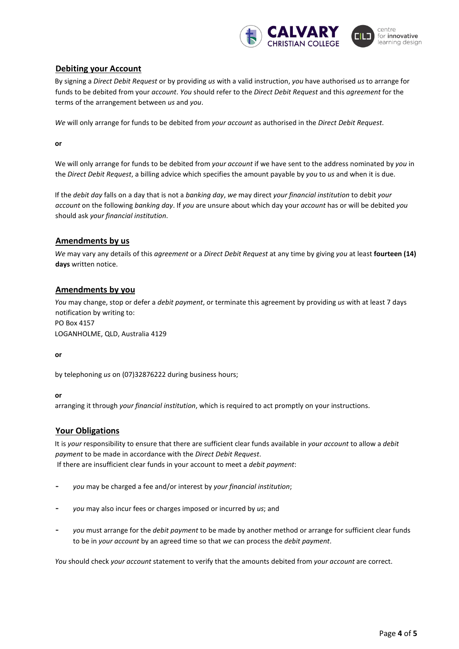

#### **Debiting your Account**

By signing a *Direct Debit Request* or by providing *us* with a valid instruction, *you* have authorised *us* to arrange for funds to be debited from your *account*. *You* should refer to the *Direct Debit Request* and this *agreement* for the terms of the arrangement between *us* and *you*.

*We* will only arrange for funds to be debited from *your account* as authorised in the *Direct Debit Request*.

**or**

We will only arrange for funds to be debited from *your account* if we have sent to the address nominated by *you* in the *Direct Debit Request*, a billing advice which specifies the amount payable by *you* to *us* and when it is due.

If the *debit day* falls on a day that is not a *banking day*, *we* may direct *your financial institution* to debit *your account* on the following *banking day*. If *you* are unsure about which day your *account* has or will be debited *you* should ask *your financial institution*.

#### **Amendments by us**

*We* may vary any details of this *agreement* or a *Direct Debit Request* at any time by giving *you* at least **fourteen (14) days** written notice.

#### **Amendments by you**

*You* may change, stop or defer a *debit payment*, or terminate this agreement by providing *us* with at least 7 days notification by writing to: PO Box 4157

LOGANHOLME, QLD, Australia 4129

**or**

by telephoning *us* on (07)32876222 during business hours;

#### **or**

arranging it through *your financial institution*, which is required to act promptly on your instructions.

#### **Your Obligations**

It is *your* responsibility to ensure that there are sufficient clear funds available in *your account* to allow a *debit payment* to be made in accordance with the *Direct Debit Request*. If there are insufficient clear funds in your account to meet a *debit payment*:

- *you* may be charged a fee and/or interest by *your financial institution*;
- *you* may also incur fees or charges imposed or incurred by *us*; and
- *you* must arrange for the *debit payment* to be made by another method or arrange for sufficient clear funds to be in *your account* by an agreed time so that *we* can process the *debit payment*.

*You* should check *your account* statement to verify that the amounts debited from *your account* are correct.